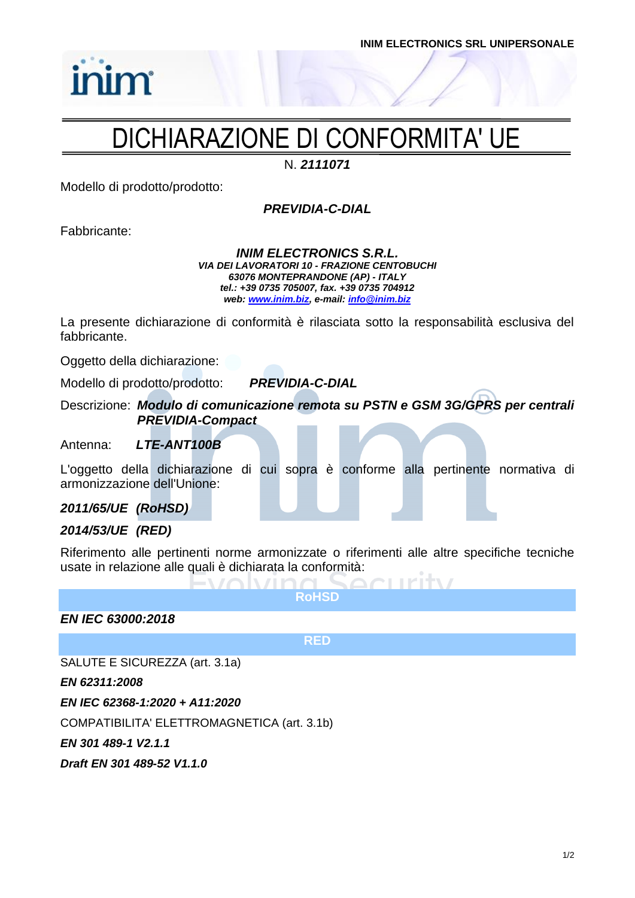# DICHIARAZIONE DI CONFORMITA' UE

N. *2111071*

Modello di prodotto/prodotto:

*PREVIDIA-C-DIAL*

Fabbricante:

*inim* 

*INIM ELECTRONICS S.R.L. VIA DEI LAVORATORI 10 - FRAZIONE CENTOBUCHI 63076 MONTEPRANDONE (AP) - ITALY tel.: +39 0735 705007, fax. +39 0735 704912 web: [www.inim.biz,](http://www.inim.biz/) e-mail[: info@inim.biz](mailto:info@inim.biz)*

La presente dichiarazione di conformità è rilasciata sotto la responsabilità esclusiva del fabbricante.

Oggetto della dichiarazione:

Modello di prodotto/prodotto: *PREVIDIA-C-DIAL*

Descrizione: *Modulo di comunicazione remota su PSTN e GSM 3G/GPRS per centrali PREVIDIA-Compact*

Antenna: *LTE-ANT100B*

L'oggetto della dichiarazione di cui sopra è conforme alla pertinente normativa di armonizzazione dell'Unione:

*2011/65/UE (RoHSD)*

### *2014/53/UE (RED)*

Riferimento alle pertinenti norme armonizzate o riferimenti alle altre specifiche tecniche usate in relazione alle quali è dichiarata la conformità:

**RoHSD**

 $\sqrt{1} \cap \cap$ 

*EN IEC 63000:2018*

**RED**

SALUTE E SICUREZZA (art. 3.1a)

*EN 62311:2008*

*EN IEC 62368-1:2020 + A11:2020*

COMPATIBILITA' ELETTROMAGNETICA (art. 3.1b)

 $\bigcap \mathbb{N}$ 

*EN 301 489-1 V2.1.1*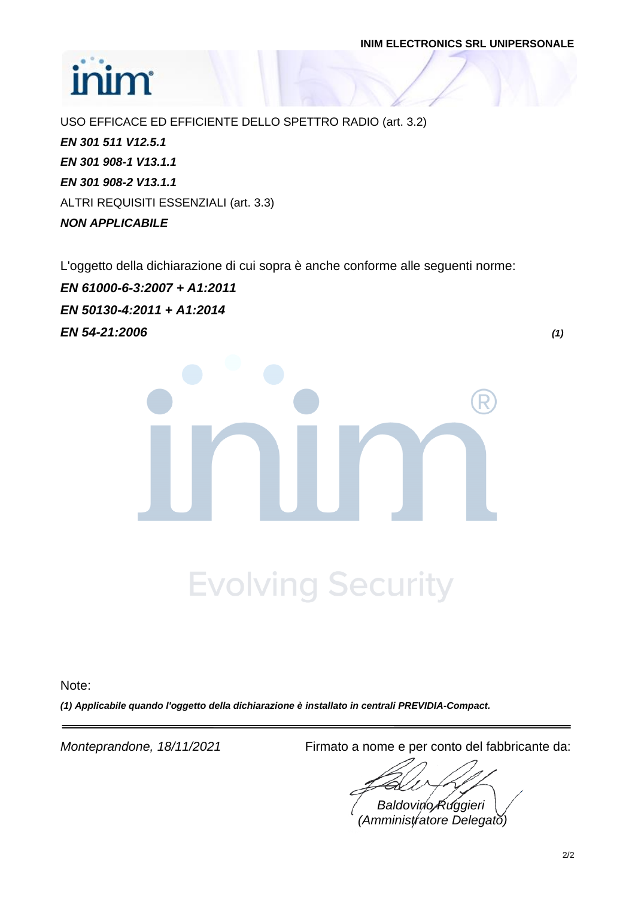# inim

USO EFFICACE ED EFFICIENTE DELLO SPETTRO RADIO (art. 3.2) *EN 301 511 V12.5.1 EN 301 908-1 V13.1.1 EN 301 908-2 V13.1.1* ALTRI REQUISITI ESSENZIALI (art. 3.3) *NON APPLICABILE*

L'oggetto della dichiarazione di cui sopra è anche conforme alle seguenti norme:

*EN 61000-6-3:2007 + A1:2011 EN 50130-4:2011 + A1:2014 EN 54-21:2006 (1)*

**Evolving Security** 

Note:

*(1) Applicabile quando l'oggetto della dichiarazione è installato in centrali PREVIDIA-Compact.*

*Monteprandone, 18/11/2021* Firmato a nome e per conto del fabbricante da:

*Baldovino Ruggieri (Amministratore Delegato)*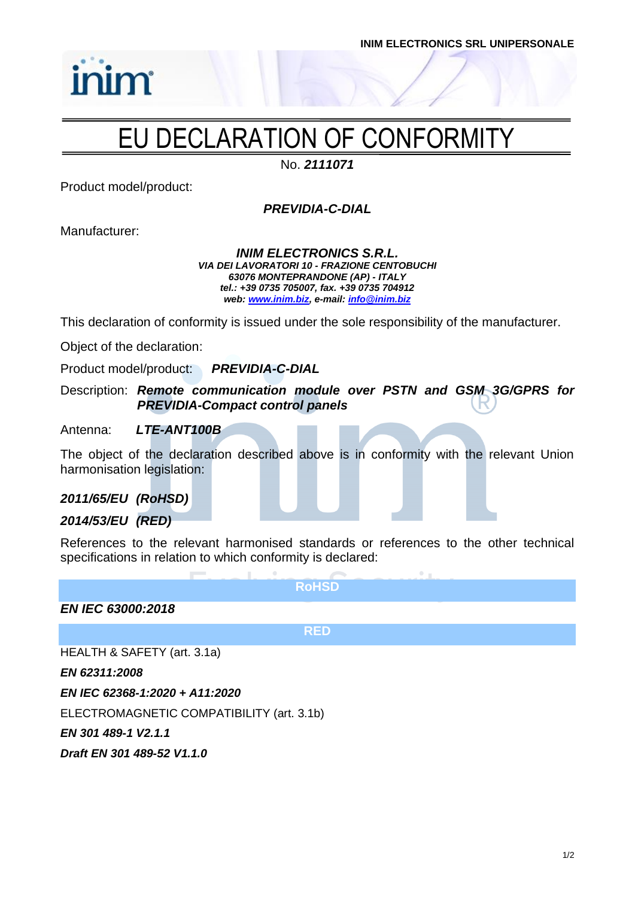

# EU DECLARATION OF CONFORMITY

No. *2111071*

Product model/product:

inim

*PREVIDIA-C-DIAL*

Manufacturer:

*INIM ELECTRONICS S.R.L. VIA DEI LAVORATORI 10 - FRAZIONE CENTOBUCHI 63076 MONTEPRANDONE (AP) - ITALY tel.: +39 0735 705007, fax. +39 0735 704912 web: [www.inim.biz,](http://www.inim.biz/) e-mail[: info@inim.biz](mailto:info@inim.biz)*

This declaration of conformity is issued under the sole responsibility of the manufacturer.

Object of the declaration:

Product model/product: *PREVIDIA-C-DIAL*

Description: *Remote communication module over PSTN and GSM 3G/GPRS for PREVIDIA-Compact control panels*

Antenna: *LTE-ANT100B*

The object of the declaration described above is in conformity with the relevant Union harmonisation legislation:

*2011/65/EU (RoHSD)*

*2014/53/EU (RED)*

References to the relevant harmonised standards or references to the other technical specifications in relation to which conformity is declared:

**RoHSD**

*EN IEC 63000:2018*

**RED**

HEALTH & SAFETY (art. 3.1a)

*EN 62311:2008*

*EN IEC 62368-1:2020 + A11:2020*

ELECTROMAGNETIC COMPATIBILITY (art. 3.1b)

*EN 301 489-1 V2.1.1*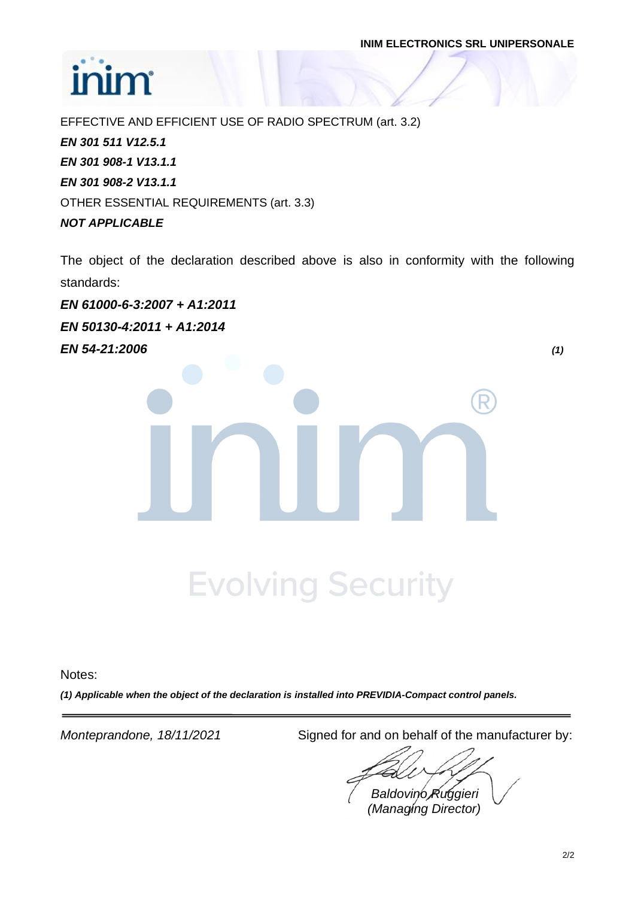# inim

EFFECTIVE AND EFFICIENT USE OF RADIO SPECTRUM (art. 3.2) *EN 301 511 V12.5.1 EN 301 908-1 V13.1.1 EN 301 908-2 V13.1.1* OTHER ESSENTIAL REQUIREMENTS (art. 3.3) *NOT APPLICABLE*

The object of the declaration described above is also in conformity with the following standards:

*EN 61000-6-3:2007 + A1:2011 EN 50130-4:2011 + A1:2014 EN 54-21:2006 (1)*

**Evolving Security** 

Notes:

*(1) Applicable when the object of the declaration is installed into PREVIDIA-Compact control panels.*

*Monteprandone, 18/11/2021* Signed for and on behalf of the manufacturer by:

*Baldovino Ruggieri*

*(Managing Director)*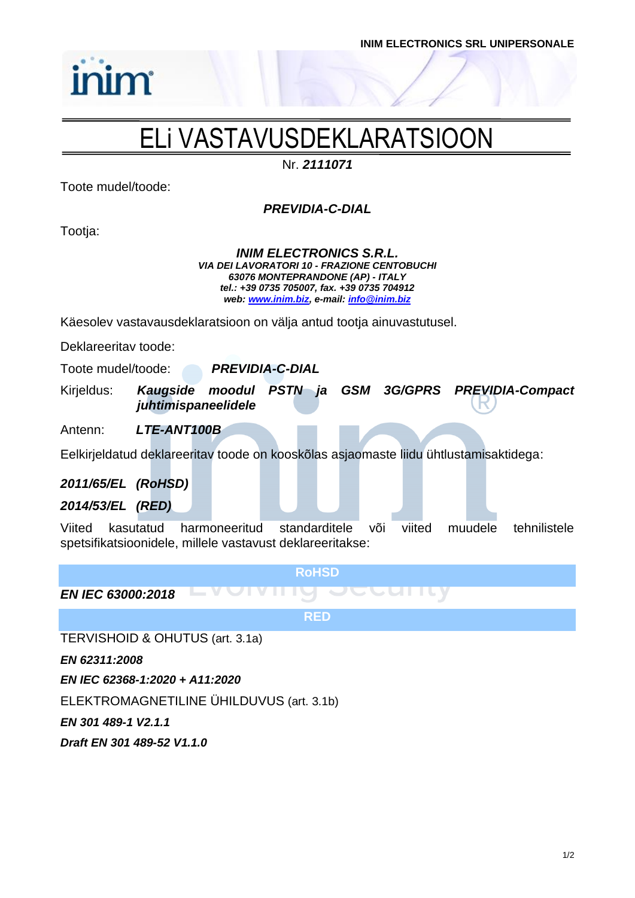

# ELi VASTAVUSDEKLARATSIOON

Nr. *2111071*

Toote mudel/toode:

inim

*PREVIDIA-C-DIAL*

Tootja:

*INIM ELECTRONICS S.R.L. VIA DEI LAVORATORI 10 - FRAZIONE CENTOBUCHI 63076 MONTEPRANDONE (AP) - ITALY tel.: +39 0735 705007, fax. +39 0735 704912 web: [www.inim.biz,](http://www.inim.biz/) e-mail[: info@inim.biz](mailto:info@inim.biz)*

Käesolev vastavausdeklaratsioon on välja antud tootja ainuvastutusel.

Deklareeritav toode:

Toote mudel/toode: *PREVIDIA-C-DIAL*

Kirjeldus: *Kaugside moodul PSTN ja GSM 3G/GPRS PREVIDIA-Compact juhtimispaneelidele*

Antenn: *LTE-ANT100B*

Eelkirjeldatud deklareeritav toode on kooskõlas asjaomaste liidu ühtlustamisaktidega:

### *2011/65/EL (RoHSD)*

*2014/53/EL (RED)*

Viited kasutatud harmoneeritud standarditele või viited muudele tehnilistele spetsifikatsioonidele, millele vastavust deklareeritakse:

**RoHSD**

*EN IEC 63000:2018*

**RED**

TERVISHOID & OHUTUS (art. 3.1a)

*EN 62311:2008*

*EN IEC 62368-1:2020 + A11:2020*

ELEKTROMAGNETILINE ÜHILDUVUS (art. 3.1b)

*EN 301 489-1 V2.1.1*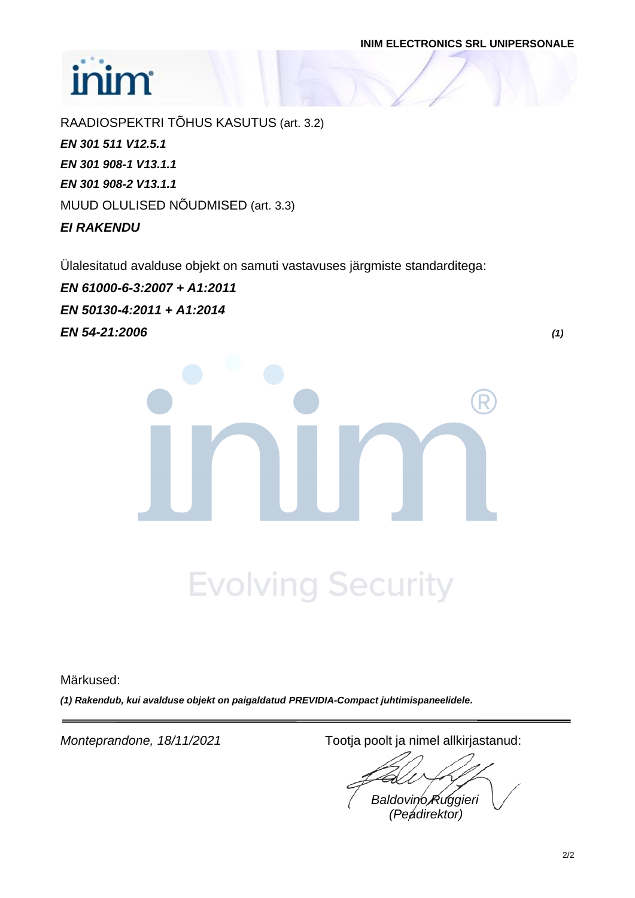# inim

RAADIOSPEKTRI TÕHUS KASUTUS (art. 3.2) *EN 301 511 V12.5.1 EN 301 908-1 V13.1.1 EN 301 908-2 V13.1.1* MUUD OLULISED NÕUDMISED (art. 3.3) *EI RAKENDU*

Ülalesitatud avalduse objekt on samuti vastavuses järgmiste standarditega:

*EN 61000-6-3:2007 + A1:2011 EN 50130-4:2011 + A1:2014 EN 54-21:2006 (1)*

**Evolving Security** 

Märkused:

*(1) Rakendub, kui avalduse objekt on paigaldatud PREVIDIA-Compact juhtimispaneelidele.*

*Monteprandone, 18/11/2021* Tootja poolt ja nimel allkirjastanud:

*Baldovino Ruggieri (Peadirektor)*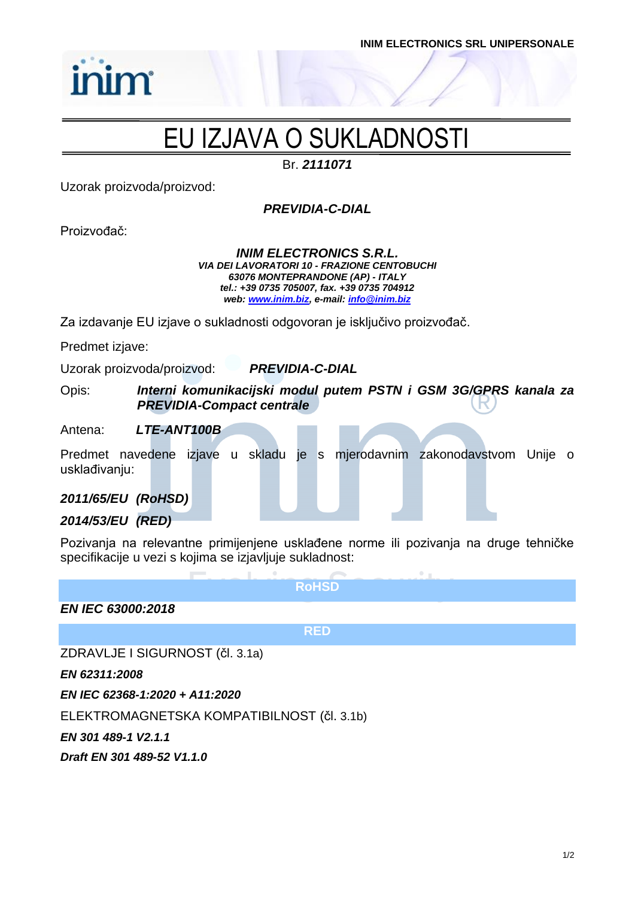

# EU IZJAVA O SUKLADNOSTI

Br. *2111071*

Uzorak proizvoda/proizvod:

inim

*PREVIDIA-C-DIAL*

Proizvođač:

*INIM ELECTRONICS S.R.L. VIA DEI LAVORATORI 10 - FRAZIONE CENTOBUCHI 63076 MONTEPRANDONE (AP) - ITALY tel.: +39 0735 705007, fax. +39 0735 704912 web: [www.inim.biz,](http://www.inim.biz/) e-mail[: info@inim.biz](mailto:info@inim.biz)*

Za izdavanje EU izjave o sukladnosti odgovoran je isključivo proizvođač.

Predmet izjave:

Uzorak proizvoda/proizvod: *PREVIDIA-C-DIAL*

Opis: *Interni komunikacijski modul putem PSTN i GSM 3G/GPRS kanala za PREVIDIA-Compact centrale*

Antena: *LTE-ANT100B*

Predmet navedene izjave u skladu je s mjerodavnim zakonodavstvom Unije o usklađivanju:

### *2011/65/EU (RoHSD)*

### *2014/53/EU (RED)*

Pozivanja na relevantne primijenjene usklađene norme ili pozivanja na druge tehničke specifikacije u vezi s kojima se izjavljuje sukladnost:

**RoHSD**

*EN IEC 63000:2018*

**RED**

ZDRAVLJE I SIGURNOST (čl. 3.1a)

*EN 62311:2008*

*EN IEC 62368-1:2020 + A11:2020*

ELEKTROMAGNETSKA KOMPATIBILNOST (čl. 3.1b)

*EN 301 489-1 V2.1.1*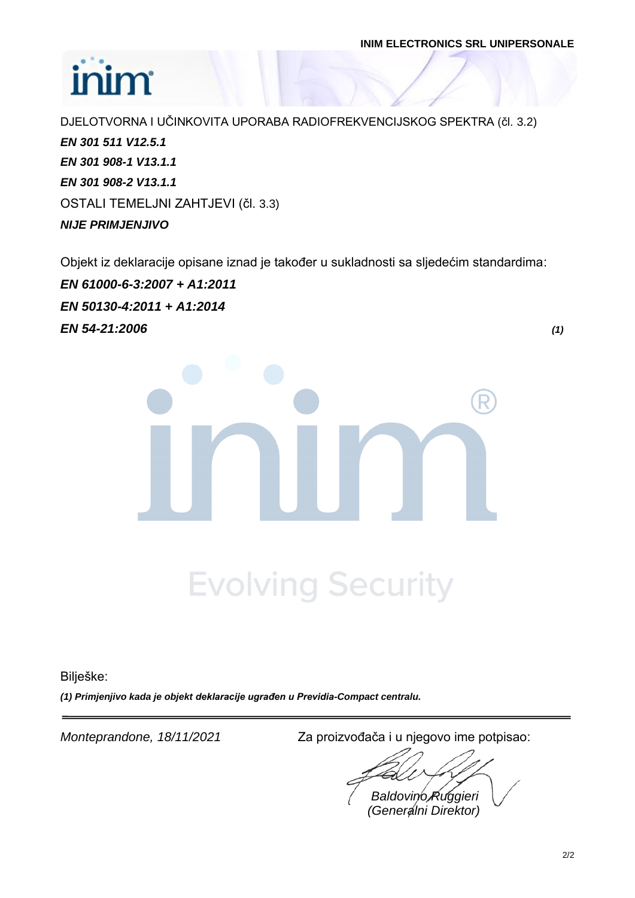# inim

DJELOTVORNA I UČINKOVITA UPORABA RADIOFREKVENCIJSKOG SPEKTRA (čl. 3.2) *EN 301 511 V12.5.1 EN 301 908-1 V13.1.1 EN 301 908-2 V13.1.1* OSTALI TEMELJNI ZAHTJEVI (čl. 3.3) *NIJE PRIMJENJIVO*

Objekt iz deklaracije opisane iznad je također u sukladnosti sa sljedećim standardima:

*EN 61000-6-3:2007 + A1:2011 EN 50130-4:2011 + A1:2014 EN 54-21:2006 (1)*

**Evolving Security** 

Bilješke:

*(1) Primjenjivo kada je objekt deklaracije ugrađen u Previdia-Compact centralu.*

*Monteprandone, 18/11/2021* Za proizvođača i u njegovo ime potpisao:

*Baldovino Ruggieri (Generalni Direktor)*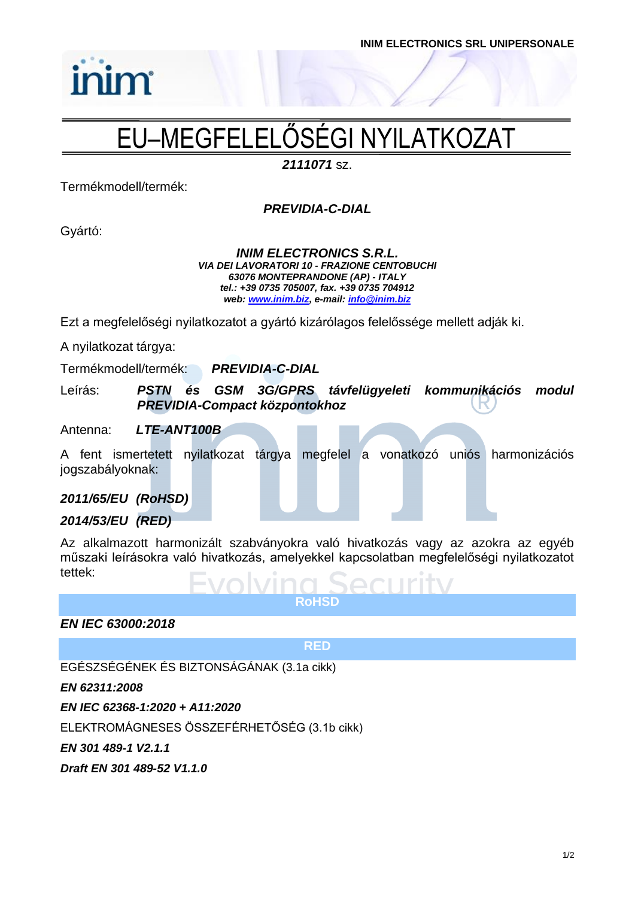# EU–MEGFELELŐSÉGI NYILATKOZAT

*2111071* sz.

Termékmodell/termék:

inim

### *PREVIDIA-C-DIAL*

Gyártó:

### *INIM ELECTRONICS S.R.L. VIA DEI LAVORATORI 10 - FRAZIONE CENTOBUCHI 63076 MONTEPRANDONE (AP) - ITALY tel.: +39 0735 705007, fax. +39 0735 704912 web: [www.inim.biz,](http://www.inim.biz/) e-mail[: info@inim.biz](mailto:info@inim.biz)*

Ezt a megfelelőségi nyilatkozatot a gyártó kizárólagos felelőssége mellett adják ki.

A nyilatkozat tárgya:

Termékmodell/termék: *PREVIDIA-C-DIAL*

Leírás: *PSTN és GSM 3G/GPRS távfelügyeleti kommunikációs modul PREVIDIA-Compact központokhoz*

### Antenna: *LTE-ANT100B*

A fent ismertetett nyilatkozat tárgya megfelel a vonatkozó uniós harmonizációs jogszabályoknak:

### *2011/65/EU (RoHSD)*

### *2014/53/EU (RED)*

Az alkalmazott harmonizált szabványokra való hivatkozás vagy az azokra az egyéb műszaki leírásokra való hivatkozás, amelyekkel kapcsolatban megfelelőségi nyilatkozatot tettek:

**RoHSD**

*EN IEC 63000:2018*

**RED**

### EGÉSZSÉGÉNEK ÉS BIZTONSÁGÁNAK (3.1a cikk)

*EN 62311:2008*

*EN IEC 62368-1:2020 + A11:2020*

ELEKTROMÁGNESES ÖSSZEFÉRHETŐSÉG (3.1b cikk)

*EN 301 489-1 V2.1.1*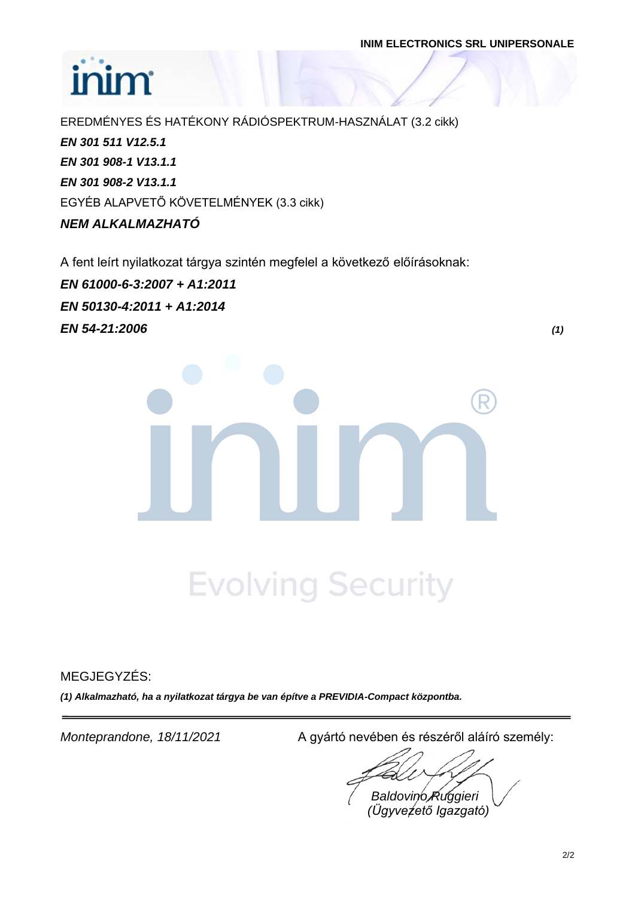# inim

EREDMÉNYES ÉS HATÉKONY RÁDIÓSPEKTRUM-HASZNÁLAT (3.2 cikk) *EN 301 511 V12.5.1 EN 301 908-1 V13.1.1 EN 301 908-2 V13.1.1* EGYÉB ALAPVETŐ KÖVETELMÉNYEK (3.3 cikk) *NEM ALKALMAZHATÓ*

A fent leírt nyilatkozat tárgya szintén megfelel a következő előírásoknak:

*EN 61000-6-3:2007 + A1:2011 EN 50130-4:2011 + A1:2014 EN 54-21:2006 (1)*

# **Evolving Security**

MEGJEGYZÉS:

*(1) Alkalmazható, ha a nyilatkozat tárgya be van építve a PREVIDIA-Compact központba.*

*Monteprandone, 18/11/2021* A gyártó nevében és részéről aláíró személy:

*Baldovino Ruggieri (Ügyvezető Igazgató)*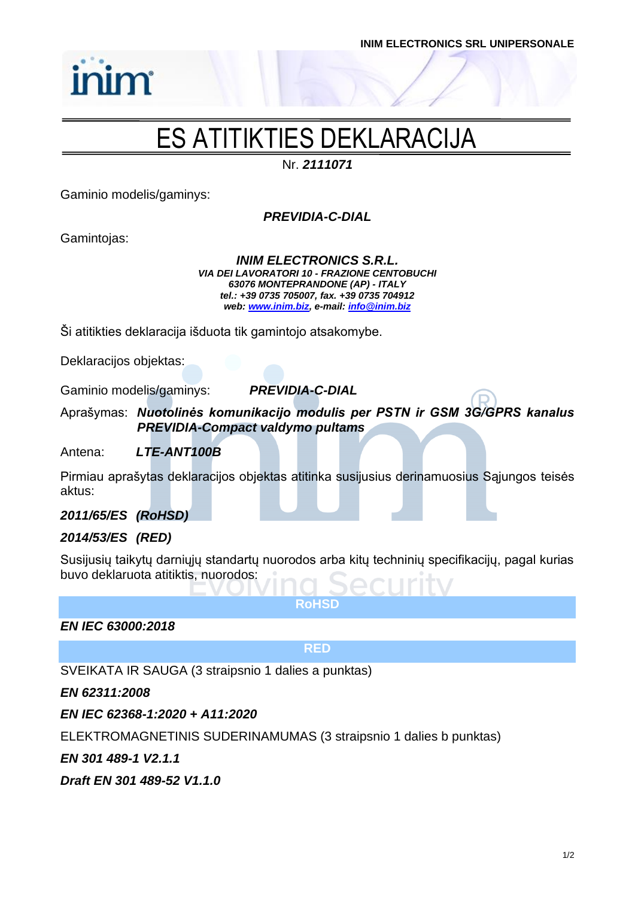

# ES ATITIKTIES DEKLARACIJA

Nr. *2111071*

Gaminio modelis/gaminys:

inim

*PREVIDIA-C-DIAL*

Gamintojas:

*INIM ELECTRONICS S.R.L. VIA DEI LAVORATORI 10 - FRAZIONE CENTOBUCHI 63076 MONTEPRANDONE (AP) - ITALY tel.: +39 0735 705007, fax. +39 0735 704912 web: [www.inim.biz,](http://www.inim.biz/) e-mail[: info@inim.biz](mailto:info@inim.biz)*

Ši atitikties deklaracija išduota tik gamintojo atsakomybe.

Deklaracijos objektas:

Gaminio modelis/gaminys: *PREVIDIA-C-DIAL*

Aprašymas: *Nuotolinės komunikacijo modulis per PSTN ir GSM 3G/GPRS kanalus PREVIDIA-Compact valdymo pultams*

Antena: *LTE-ANT100B*

Pirmiau aprašytas deklaracijos objektas atitinka susijusius derinamuosius Sąjungos teisės aktus:

### *2011/65/ES (RoHSD)*

### *2014/53/ES (RED)*

Susijusių taikytų darniųjų standartų nuorodos arba kitų techninių specifikacijų, pagal kurias buvo deklaruota atitiktis, nuorodos:

**RoHSD**

*EN IEC 63000:2018*

**RED**

SVEIKATA IR SAUGA (3 straipsnio 1 dalies a punktas)

*EN 62311:2008*

*EN IEC 62368-1:2020 + A11:2020*

ELEKTROMAGNETINIS SUDERINAMUMAS (3 straipsnio 1 dalies b punktas)

*EN 301 489-1 V2.1.1*